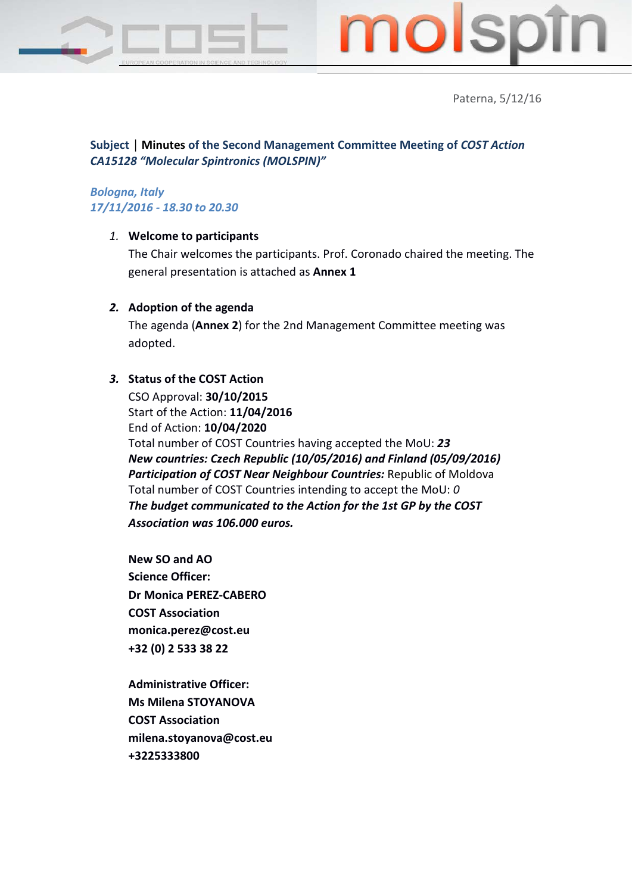



Paterna, 5/12/16

# **Subject │ Minutes of the Second Management Committee Meeting of** *COST Action CA15128 "Molecular Spintronics (MOLSPIN)"*

# *Bologna, Italy 17/11/2016 - 18.30 to 20.30*

# *1.* **Welcome to participants**

The Chair welcomes the participants. Prof. Coronado chaired the meeting. The general presentation is attached as **Annex 1**

## *2.* **Adoption of the agenda**

The agenda (**Annex 2**) for the 2nd Management Committee meeting was adopted.

# *3.* **Status of the COST Action**

CSO Approval: **30/10/2015** Start of the Action: **11/04/2016** End of Action: **10/04/2020** Total number of COST Countries having accepted the MoU: *23 New countries: Czech Republic (10/05/2016) and Finland (05/09/2016) Participation of COST Near Neighbour Countries:* Republic of Moldova Total number of COST Countries intending to accept the MoU: *0 The budget communicated to the Action for the 1st GP by the COST Association was 106.000 euros.*

**New SO and AO Science Officer: Dr Monica PEREZ-CABERO COST Association monica.perez@cost.eu +32 (0) 2 533 38 22**

**Administrative Officer: Ms Milena STOYANOVA COST Association milena.stoyanova@cost.eu +3225333800**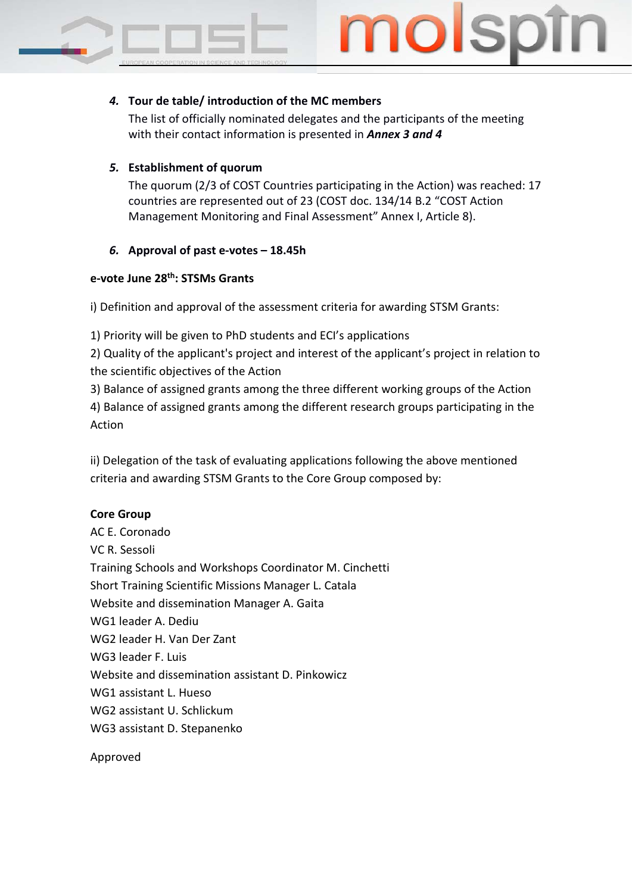

# *4.* **Tour de table/ introduction of the MC members**

The list of officially nominated delegates and the participants of the meeting with their contact information is presented in *Annex 3 and 4*

# *5.* **Establishment of quorum**

The quorum (2/3 of COST Countries participating in the Action) was reached: 17 countries are represented out of 23 (COST doc. 134/14 B.2 "COST Action Management Monitoring and Final Assessment" Annex I, Article 8).

# *6.* **Approval of past e-votes – 18.45h**

# **e-vote June 28th: STSMs Grants**

i) Definition and approval of the assessment criteria for awarding STSM Grants:

1) Priority will be given to PhD students and ECI's applications

2) Quality of the applicant's project and interest of the applicant's project in relation to the scientific objectives of the Action

3) Balance of assigned grants among the three different working groups of the Action 4) Balance of assigned grants among the different research groups participating in the Action

ii) Delegation of the task of evaluating applications following the above mentioned criteria and awarding STSM Grants to the Core Group composed by:

# **Core Group**

AC E. Coronado VC R. Sessoli Training Schools and Workshops Coordinator M. Cinchetti Short Training Scientific Missions Manager L. Catala Website and dissemination Manager A. Gaita WG1 leader A. Dediu WG2 leader H. Van Der Zant WG3 leader F. Luis Website and dissemination assistant D. Pinkowicz WG1 assistant L. Hueso WG2 assistant U. Schlickum WG3 assistant D. Stepanenko

Approved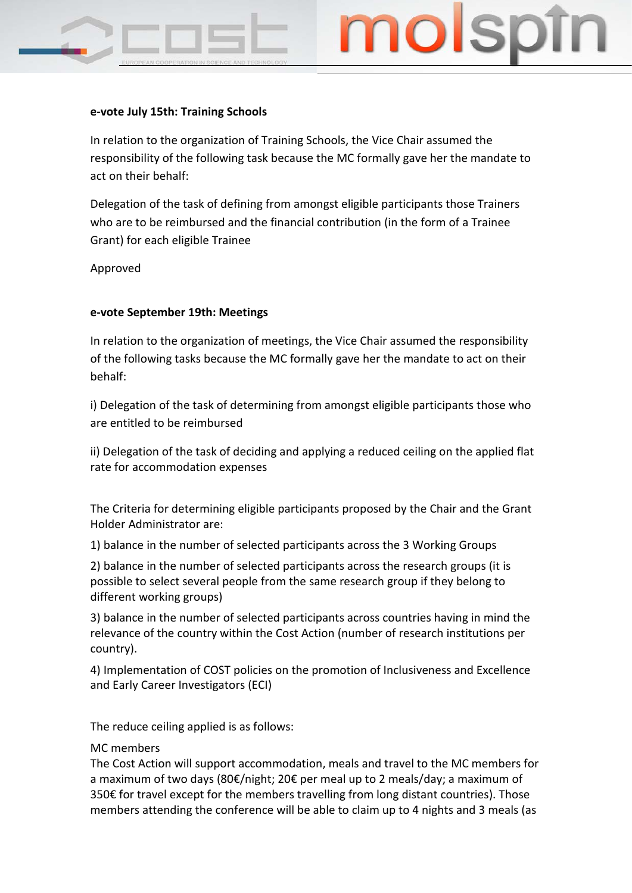## **e-vote July 15th: Training Schools**

In relation to the organization of Training Schools, the Vice Chair assumed the responsibility of the following task because the MC formally gave her the mandate to act on their behalf:

Delegation of the task of defining from amongst eligible participants those Trainers who are to be reimbursed and the financial contribution (in the form of a Trainee Grant) for each eligible Trainee

Approved

## **e-vote September 19th: Meetings**

In relation to the organization of meetings, the Vice Chair assumed the responsibility of the following tasks because the MC formally gave her the mandate to act on their behalf:

i) Delegation of the task of determining from amongst eligible participants those who are entitled to be reimbursed

ii) Delegation of the task of deciding and applying a reduced ceiling on the applied flat rate for accommodation expenses

The Criteria for determining eligible participants proposed by the Chair and the Grant Holder Administrator are:

1) balance in the number of selected participants across the 3 Working Groups

2) balance in the number of selected participants across the research groups (it is possible to select several people from the same research group if they belong to different working groups)

3) balance in the number of selected participants across countries having in mind the relevance of the country within the Cost Action (number of research institutions per country).

4) Implementation of COST policies on the promotion of Inclusiveness and Excellence and Early Career Investigators (ECI)

The reduce ceiling applied is as follows:

## MC members

The Cost Action will support accommodation, meals and travel to the MC members for a maximum of two days (80€/night; 20€ per meal up to 2 meals/day; a maximum of 350€ for travel except for the members travelling from long distant countries). Those members attending the conference will be able to claim up to 4 nights and 3 meals (as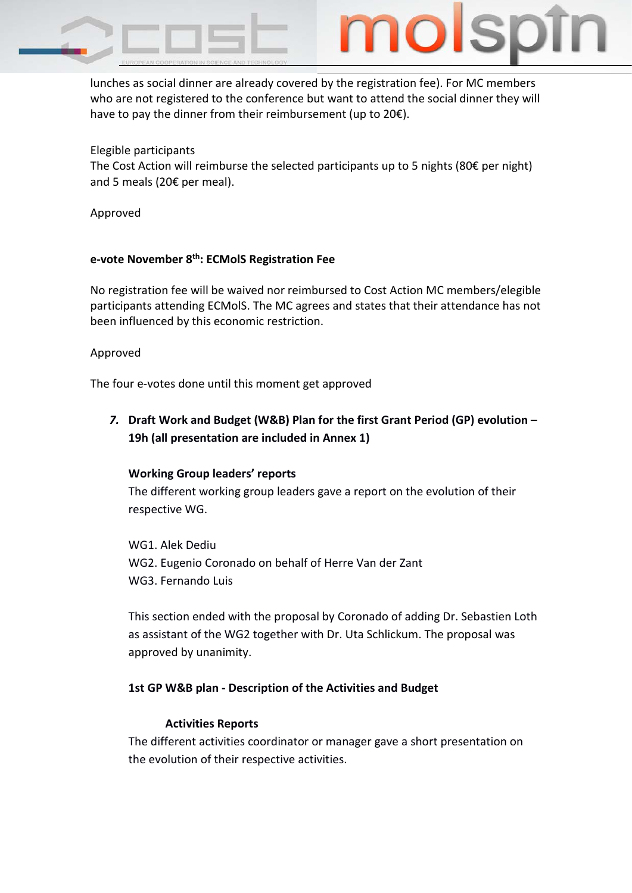

lunches as social dinner are already covered by the registration fee). For MC members who are not registered to the conference but want to attend the social dinner they will have to pay the dinner from their reimbursement (up to 20€).

# Elegible participants

The Cost Action will reimburse the selected participants up to 5 nights (80 $\epsilon$  per night) and 5 meals (20€ per meal).

Approved

# **e-vote November 8th: ECMolS Registration Fee**

No registration fee will be waived nor reimbursed to Cost Action MC members/elegible participants attending ECMolS. The MC agrees and states that their attendance has not been influenced by this economic restriction.

## Approved

The four e-votes done until this moment get approved

*7.* **Draft Work and Budget (W&B) Plan for the first Grant Period (GP) evolution – 19h (all presentation are included in Annex 1)**

# **Working Group leaders' reports**

The different working group leaders gave a report on the evolution of their respective WG.

WG1. Alek Dediu WG2. Eugenio Coronado on behalf of Herre Van der Zant WG3. Fernando Luis

This section ended with the proposal by Coronado of adding Dr. Sebastien Loth as assistant of the WG2 together with Dr. Uta Schlickum. The proposal was approved by unanimity.

# **1st GP W&B plan - Description of the Activities and Budget**

# **Activities Reports**

The different activities coordinator or manager gave a short presentation on the evolution of their respective activities.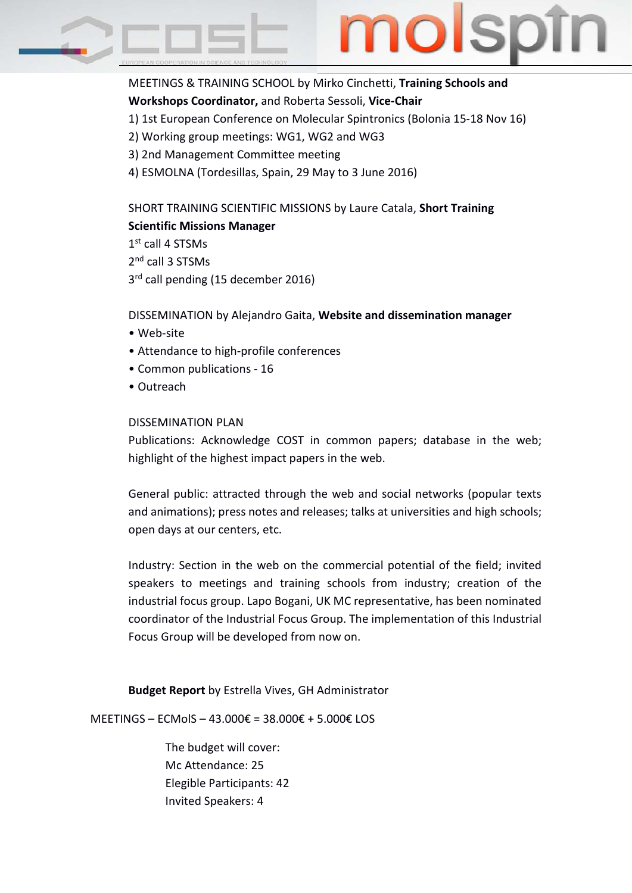

MEETINGS & TRAINING SCHOOL by Mirko Cinchetti, **Training Schools and Workshops Coordinator,** and Roberta Sessoli, **Vice-Chair**

- 1) 1st European Conference on Molecular Spintronics (Bolonia 15-18 Nov 16)
- 2) Working group meetings: WG1, WG2 and WG3
- 3) 2nd Management Committee meeting
- 4) ESMOLNA (Tordesillas, Spain, 29 May to 3 June 2016)

SHORT TRAINING SCIENTIFIC MISSIONS by Laure Catala, **Short Training Scientific Missions Manager**

1<sup>st</sup> call 4 STSMs 2<sup>nd</sup> call 3 STSMs

3<sup>rd</sup> call pending (15 december 2016)

DISSEMINATION by Alejandro Gaita, **Website and dissemination manager**

- Web-site
- Attendance to high-profile conferences
- Common publications 16
- Outreach

## DISSEMINATION PLAN

Publications: Acknowledge COST in common papers; database in the web; highlight of the highest impact papers in the web.

General public: attracted through the web and social networks (popular texts and animations); press notes and releases; talks at universities and high schools; open days at our centers, etc.

Industry: Section in the web on the commercial potential of the field; invited speakers to meetings and training schools from industry; creation of the industrial focus group. Lapo Bogani, UK MC representative, has been nominated coordinator of the Industrial Focus Group. The implementation of this Industrial Focus Group will be developed from now on.

**Budget Report** by Estrella Vives, GH Administrator

MEETINGS – ECMolS – 43.000€ = 38.000€ + 5.000€ LOS

The budget will cover: Mc Attendance: 25 Elegible Participants: 42 Invited Speakers: 4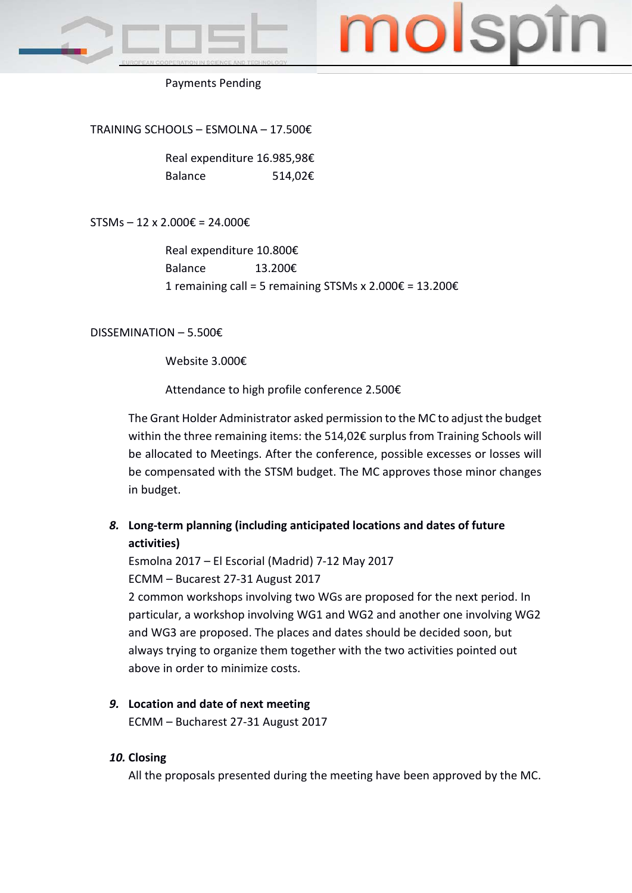

# no

## Payments Pending

TRAINING SCHOOLS – ESMOLNA – 17.500€

Real expenditure 16.985,98€ Balance 514,02€

STSMs – 12 x 2.000€ = 24.000€

Real expenditure 10.800€ Balance 13.200€ 1 remaining call = 5 remaining STSMs x 2.000€ = 13.200€

DISSEMINATION – 5.500€

Website 3.000€

Attendance to high profile conference 2.500€

The Grant Holder Administrator asked permission to the MC to adjust the budget within the three remaining items: the 514,02€ surplus from Training Schools will be allocated to Meetings. After the conference, possible excesses or losses will be compensated with the STSM budget. The MC approves those minor changes in budget.

# *8.* **Long-term planning (including anticipated locations and dates of future activities)**

Esmolna 2017 – El Escorial (Madrid) 7-12 May 2017 ECMM – Bucarest 27-31 August 2017 2 common workshops involving two WGs are proposed for the next period. In particular, a workshop involving WG1 and WG2 and another one involving WG2 and WG3 are proposed. The places and dates should be decided soon, but always trying to organize them together with the two activities pointed out above in order to minimize costs.

*9.* **Location and date of next meeting** ECMM – Bucharest 27-31 August 2017

## *10.* **Closing**

All the proposals presented during the meeting have been approved by the MC.